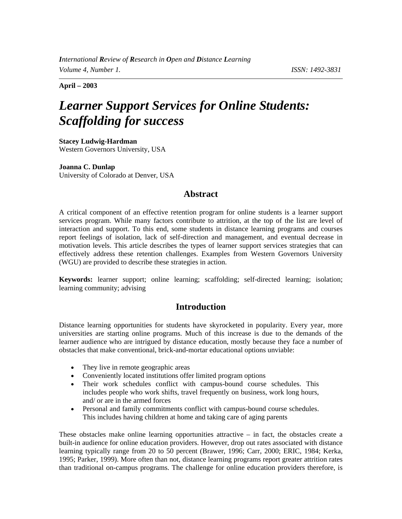#### **April – 2003**

# *Learner Support Services for Online Students: Scaffolding for success*

**Stacey Ludwig-Hardman** Western Governors University, USA

**Joanna C. Dunlap** University of Colorado at Denver, USA

## **Abstract**

A critical component of an effective retention program for online students is a learner support services program. While many factors contribute to attrition, at the top of the list are level of interaction and support. To this end, some students in distance learning programs and courses report feelings of isolation, lack of self-direction and management, and eventual decrease in motivation levels. This article describes the types of learner support services strategies that can effectively address these retention challenges. Examples from Western Governors University (WGU) are provided to describe these strategies in action.

**Keywords:** learner support; online learning; scaffolding; self-directed learning; isolation; learning community; advising

### **Introduction**

Distance learning opportunities for students have skyrocketed in popularity. Every year, more universities are starting online programs. Much of this increase is due to the demands of the learner audience who are intrigued by distance education, mostly because they face a number of obstacles that make conventional, brick-and-mortar educational options unviable:

- They live in remote geographic areas
- Conveniently located institutions offer limited program options
- Their work schedules conflict with campus-bound course schedules. This includes people who work shifts, travel frequently on business, work long hours, and/ or are in the armed forces
- Personal and family commitments conflict with campus-bound course schedules. This includes having children at home and taking care of aging parents

These obstacles make online learning opportunities attractive  $-$  in fact, the obstacles create a built-in audience for online education providers. However, drop out rates associated with distance learning typically range from 20 to 50 percent (Brawer, 1996; Carr, 2000; ERIC, 1984; Kerka, 1995; Parker, 1999). More often than not, distance learning programs report greater attrition rates than traditional on-campus programs. The challenge for online education providers therefore, is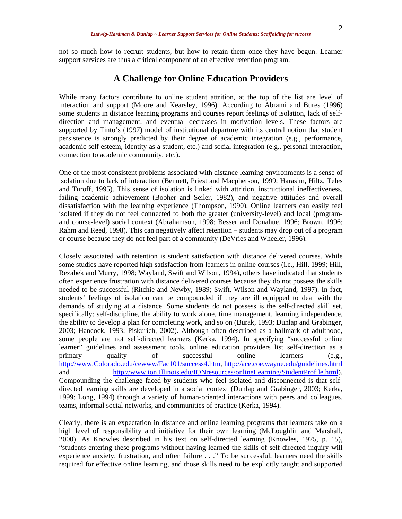not so much how to recruit students, but how to retain them once they have begun. Learner support services are thus a critical component of an effective retention program.

#### **A Challenge for Online Education Providers**

While many factors contribute to online student attrition, at the top of the list are level of interaction and support (Moore and Kearsley, 1996). According to Abrami and Bures (1996) some students in distance learning programs and courses report feelings of isolation, lack of selfdirection and management, and eventual decreases in motivation levels. These factors are supported by Tinto's (1997) model of institutional departure with its central notion that student persistence is strongly predicted by their degree of academic integration (e.g., performance, academic self esteem, identity as a student, etc.) and social integration (e.g., personal interaction, connection to academic community, etc.).

One of the most consistent problems associated with distance learning environments is a sense of isolation due to lack of interaction (Bennett, Priest and Macpherson, 1999; Harasim, Hiltz, Teles and Turoff, 1995). This sense of isolation is linked with attrition, instructional ineffectiveness, failing academic achievement (Booher and Seiler, 1982), and negative attitudes and overall dissatisfaction with the learning experience (Thompson, 1990). Online learners can easily feel isolated if they do not feel connected to both the greater (university-level) and local (programand course-level) social context (Abrahamson, 1998; Besser and Donahue, 1996; Brown, 1996; Rahm and Reed, 1998). This can negatively affect retention – students may drop out of a program or course because they do not feel part of a community (DeVries and Wheeler, 1996).

Closely associated with retention is student satisfaction with distance delivered courses. While some studies have reported high satisfaction from learners in online courses (i.e., Hill, 1999; Hill, Rezabek and Murry, 1998; Wayland, Swift and Wilson, 1994), others have indicated that students often experience frustration with distance delivered courses because they do not possess the skills needed to be successful (Ritchie and Newby, 1989; Swift, Wilson and Wayland, 1997). In fact, students' feelings of isolation can be compounded if they are ill equipped to deal with the demands of studying at a distance. Some students do not possess is the self-directed skill set, specifically: self-discipline, the ability to work alone, time management, learning independence, the ability to develop a plan for completing work, and so on (Burak, 1993; Dunlap and Grabinger, 2003; Hancock, 1993; Piskurich, 2002). Although often described as a hallmark of adulthood, some people are not self-directed learners (Kerka, 1994). In specifying "successful online learner" guidelines and assessment tools, online education providers list self-direction as a primary quality of successful online learners (e.g., [http://www.Colorado.edu/cewww/Fac101/success4.htm,](http://www.colorado.edu/cewww/Fac101/success4.htm) <http://ace.coe.wayne.edu/guidelines.html> and [http://www.ion.Illinois.edu/IONresources/onlineLearning/StudentProfile.html\)](http://www.ion.illinois.edu/IONresources/onlineLearning/StudentProfile.html). Compounding the challenge faced by students who feel isolated and disconnected is that selfdirected learning skills are developed in a social context (Dunlap and Grabinger, 2003; Kerka, 1999; Long, 1994) through a variety of human-oriented interactions with peers and colleagues, teams, informal social networks, and communities of practice (Kerka, 1994).

Clearly, there is an expectation in distance and online learning programs that learners take on a high level of responsibility and initiative for their own learning (McLoughlin and Marshall, 2000). As Knowles described in his text on self-directed learning (Knowles, 1975, p. 15), "students entering these programs without having learned the skills of self-directed inquiry will experience anxiety, frustration, and often failure . . ." To be successful, learners need the skills required for effective online learning, and those skills need to be explicitly taught and supported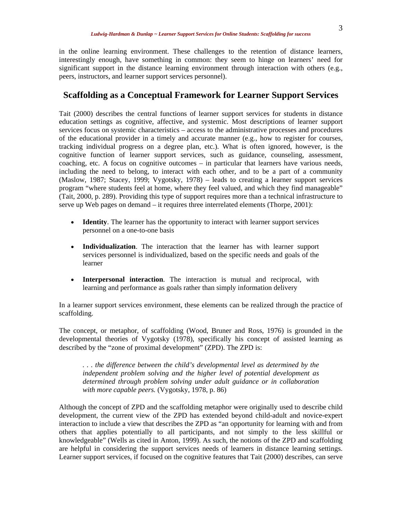in the online learning environment. These challenges to the retention of distance learners, interestingly enough, have something in common: they seem to hinge on learners' need for significant support in the distance learning environment through interaction with others (e.g., peers, instructors, and learner support services personnel).

#### **Scaffolding as a Conceptual Framework for Learner Support Services**

Tait (2000) describes the central functions of learner support services for students in distance education settings as cognitive, affective, and systemic. Most descriptions of learner support services focus on systemic characteristics – access to the administrative processes and procedures of the educational provider in a timely and accurate manner (e.g., how to register for courses, tracking individual progress on a degree plan, etc.). What is often ignored, however, is the cognitive function of learner support services, such as guidance, counseling, assessment, coaching, etc. A focus on cognitive outcomes – in particular that learners have various needs, including the need to belong, to interact with each other, and to be a part of a community (Maslow, 1987; Stacey, 1999; Vygotsky, 1978) – leads to creating a learner support services program "where students feel at home, where they feel valued, and which they find manageable" (Tait, 2000, p. 289). Providing this type of support requires more than a technical infrastructure to serve up Web pages on demand – it requires three interrelated elements (Thorpe, 2001):

- **Identity**. The learner has the opportunity to interact with learner support services personnel on a one-to-one basis
- **Individualization**. The interaction that the learner has with learner support services personnel is individualized, based on the specific needs and goals of the learner
- **Interpersonal interaction**. The interaction is mutual and reciprocal, with learning and performance as goals rather than simply information delivery

In a learner support services environment, these elements can be realized through the practice of scaffolding.

The concept, or metaphor, of scaffolding (Wood, Bruner and Ross, 1976) is grounded in the developmental theories of Vygotsky (1978), specifically his concept of assisted learning as described by the "zone of proximal development" (ZPD). The ZPD is:

*. . . the difference between the child's developmental level as determined by the independent problem solving and the higher level of potential development as determined through problem solving under adult guidance or in collaboration with more capable peers.* (Vygotsky, 1978, p. 86)

Although the concept of ZPD and the scaffolding metaphor were originally used to describe child development, the current view of the ZPD has extended beyond child-adult and novice-expert interaction to include a view that describes the ZPD as "an opportunity for learning with and from others that applies potentially to all participants, and not simply to the less skillful or knowledgeable" (Wells as cited in Anton, 1999). As such, the notions of the ZPD and scaffolding are helpful in considering the support services needs of learners in distance learning settings. Learner support services, if focused on the cognitive features that Tait (2000) describes, can serve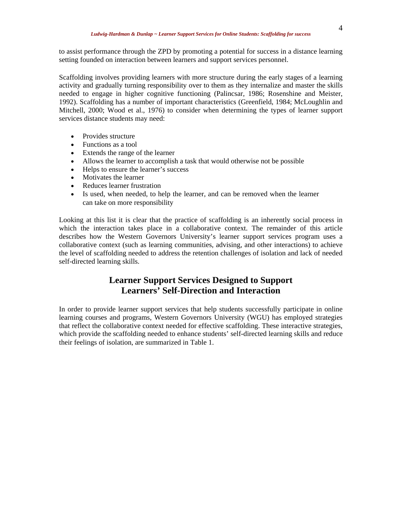to assist performance through the ZPD by promoting a potential for success in a distance learning setting founded on interaction between learners and support services personnel.

Scaffolding involves providing learners with more structure during the early stages of a learning activity and gradually turning responsibility over to them as they internalize and master the skills needed to engage in higher cognitive functioning (Palincsar, 1986; Rosenshine and Meister, 1992). Scaffolding has a number of important characteristics (Greenfield, 1984; McLoughlin and Mitchell, 2000; Wood et al., 1976) to consider when determining the types of learner support services distance students may need:

- Provides structure
- Functions as a tool
- Extends the range of the learner
- Allows the learner to accomplish a task that would otherwise not be possible
- Helps to ensure the learner's success
- Motivates the learner
- Reduces learner frustration
- Is used, when needed, to help the learner, and can be removed when the learner can take on more responsibility

Looking at this list it is clear that the practice of scaffolding is an inherently social process in which the interaction takes place in a collaborative context. The remainder of this article describes how the Western Governors University's learner support services program uses a collaborative context (such as learning communities, advising, and other interactions) to achieve the level of scaffolding needed to address the retention challenges of isolation and lack of needed self-directed learning skills.

## **Learner Support Services Designed to Support Learners' Self-Direction and Interaction**

In order to provide learner support services that help students successfully participate in online learning courses and programs, Western Governors University (WGU) has employed strategies that reflect the collaborative context needed for effective scaffolding. These interactive strategies, which provide the scaffolding needed to enhance students' self-directed learning skills and reduce their feelings of isolation, are summarized in Table 1.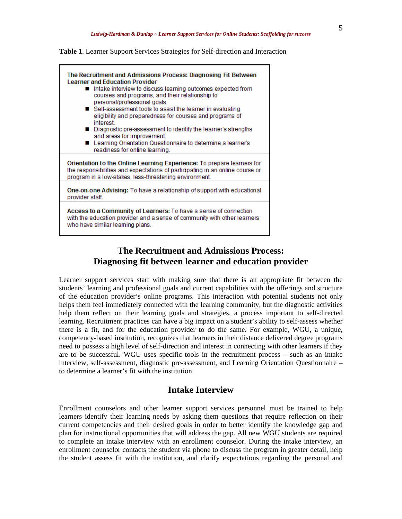

**Table 1**. Learner Support Services Strategies for Self-direction and Interaction

## **The Recruitment and Admissions Process: Diagnosing fit between learner and education provider**

Learner support services start with making sure that there is an appropriate fit between the students' learning and professional goals and current capabilities with the offerings and structure of the education provider's online programs. This interaction with potential students not only helps them feel immediately connected with the learning community, but the diagnostic activities help them reflect on their learning goals and strategies, a process important to self-directed learning. Recruitment practices can have a big impact on a student's ability to self-assess whether there is a fit, and for the education provider to do the same. For example, WGU, a unique, competency-based institution, recognizes that learners in their distance delivered degree programs need to possess a high level of self-direction and interest in connecting with other learners if they are to be successful. WGU uses specific tools in the recruitment process – such as an intake interview, self-assessment, diagnostic pre-assessment, and Learning Orientation Questionnaire – to determine a learner's fit with the institution.

#### **Intake Interview**

Enrollment counselors and other learner support services personnel must be trained to help learners identify their learning needs by asking them questions that require reflection on their current competencies and their desired goals in order to better identify the knowledge gap and plan for instructional opportunities that will address the gap. All new WGU students are required to complete an intake interview with an enrollment counselor. During the intake interview, an enrollment counselor contacts the student via phone to discuss the program in greater detail, help the student assess fit with the institution, and clarify expectations regarding the personal and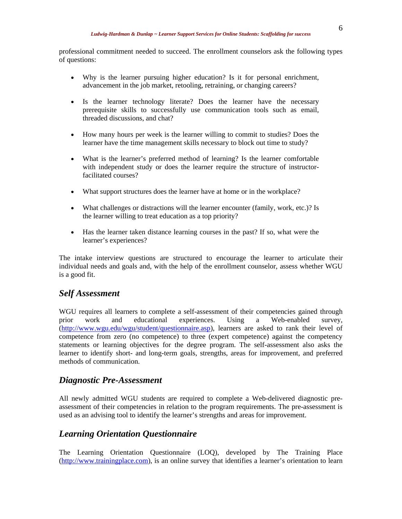professional commitment needed to succeed. The enrollment counselors ask the following types of questions:

- Why is the learner pursuing higher education? Is it for personal enrichment, advancement in the job market, retooling, retraining, or changing careers?
- Is the learner technology literate? Does the learner have the necessary prerequisite skills to successfully use communication tools such as email, threaded discussions, and chat?
- How many hours per week is the learner willing to commit to studies? Does the learner have the time management skills necessary to block out time to study?
- What is the learner's preferred method of learning? Is the learner comfortable with independent study or does the learner require the structure of instructorfacilitated courses?
- What support structures does the learner have at home or in the workplace?
- What challenges or distractions will the learner encounter (family, work, etc.)? Is the learner willing to treat education as a top priority?
- Has the learner taken distance learning courses in the past? If so, what were the learner's experiences?

The intake interview questions are structured to encourage the learner to articulate their individual needs and goals and, with the help of the enrollment counselor, assess whether WGU is a good fit.

#### *Self Assessment*

WGU requires all learners to complete a self-assessment of their competencies gained through prior work and educational experiences. Using a Web-enabled survey, ([http://www.wgu.edu/wgu/student/questionnaire.asp\)](http://www.wgu.edu/wgu/student/questionnaire.asp), learners are asked to rank their level of competence from zero (no competence) to three (expert competence) against the competency statements or learning objectives for the degree program. The self-assessment also asks the learner to identify short- and long-term goals, strengths, areas for improvement, and preferred methods of communication.

#### *Diagnostic Pre-Assessment*

All newly admitted WGU students are required to complete a Web-delivered diagnostic preassessment of their competencies in relation to the program requirements. The pre-assessment is used as an advising tool to identify the learner's strengths and areas for improvement.

#### *Learning Orientation Questionnaire*

The Learning Orientation Questionnaire (LOQ), developed by The Training Place ([http://www.trainingplace.com\)](http://www.trainingplace.com/), is an online survey that identifies a learner's orientation to learn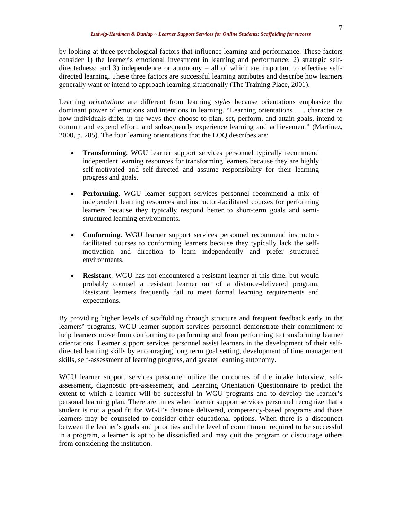by looking at three psychological factors that influence learning and performance. These factors consider 1) the learner's emotional investment in learning and performance; 2) strategic selfdirectedness; and 3) independence or autonomy – all of which are important to effective selfdirected learning. These three factors are successful learning attributes and describe how learners generally want or intend to approach learning situationally (The Training Place, 2001).

Learning *orientations* are different from learning *styles* because orientations emphasize the dominant power of emotions and intentions in learning. "Learning orientations . . . characterize how individuals differ in the ways they choose to plan, set, perform, and attain goals, intend to commit and expend effort, and subsequently experience learning and achievement" (Martinez, 2000, p. 285). The four learning orientations that the LOQ describes are:

- **Transforming**. WGU learner support services personnel typically recommend independent learning resources for transforming learners because they are highly self-motivated and self-directed and assume responsibility for their learning progress and goals.
- **Performing**. WGU learner support services personnel recommend a mix of independent learning resources and instructor-facilitated courses for performing learners because they typically respond better to short-term goals and semistructured learning environments.
- **Conforming**. WGU learner support services personnel recommend instructorfacilitated courses to conforming learners because they typically lack the selfmotivation and direction to learn independently and prefer structured environments.
- **Resistant**. WGU has not encountered a resistant learner at this time, but would probably counsel a resistant learner out of a distance-delivered program. Resistant learners frequently fail to meet formal learning requirements and expectations.

By providing higher levels of scaffolding through structure and frequent feedback early in the learners' programs, WGU learner support services personnel demonstrate their commitment to help learners move from conforming to performing and from performing to transforming learner orientations. Learner support services personnel assist learners in the development of their selfdirected learning skills by encouraging long term goal setting, development of time management skills, self-assessment of learning progress, and greater learning autonomy.

WGU learner support services personnel utilize the outcomes of the intake interview, selfassessment, diagnostic pre-assessment, and Learning Orientation Questionnaire to predict the extent to which a learner will be successful in WGU programs and to develop the learner's personal learning plan. There are times when learner support services personnel recognize that a student is not a good fit for WGU's distance delivered, competency-based programs and those learners may be counseled to consider other educational options. When there is a disconnect between the learner's goals and priorities and the level of commitment required to be successful in a program, a learner is apt to be dissatisfied and may quit the program or discourage others from considering the institution.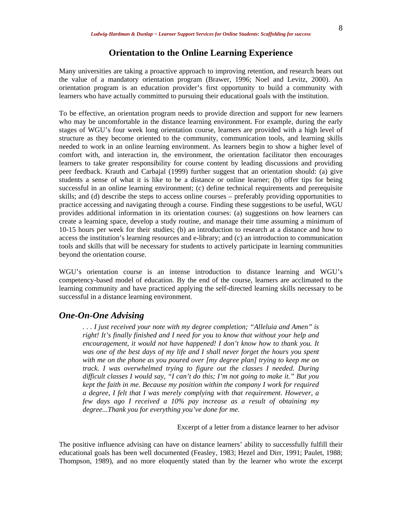#### **Orientation to the Online Learning Experience**

Many universities are taking a proactive approach to improving retention, and research bears out the value of a mandatory orientation program (Brawer, 1996; Noel and Levitz, 2000). An orientation program is an education provider's first opportunity to build a community with learners who have actually committed to pursuing their educational goals with the institution.

To be effective, an orientation program needs to provide direction and support for new learners who may be uncomfortable in the distance learning environment. For example, during the early stages of WGU's four week long orientation course, learners are provided with a high level of structure as they become oriented to the community, communication tools, and learning skills needed to work in an online learning environment. As learners begin to show a higher level of comfort with, and interaction in, the environment, the orientation facilitator then encourages learners to take greater responsibility for course content by leading discussions and providing peer feedback. Krauth and Carbajal (1999) further suggest that an orientation should: (a) give students a sense of what it is like to be a distance or online learner; (b) offer tips for being successful in an online learning environment; (c) define technical requirements and prerequisite skills; and (d) describe the steps to access online courses – preferably providing opportunities to practice accessing and navigating through a course. Finding these suggestions to be useful, WGU provides additional information in its orientation courses: (a) suggestions on how learners can create a learning space, develop a study routine, and manage their time assuming a minimum of 10-15 hours per week for their studies; (b) an introduction to research at a distance and how to access the institution's learning resources and e-library; and (c) an introduction to communication tools and skills that will be necessary for students to actively participate in learning communities beyond the orientation course.

WGU's orientation course is an intense introduction to distance learning and WGU's competency-based model of education. By the end of the course, learners are acclimated to the learning community and have practiced applying the self-directed learning skills necessary to be successful in a distance learning environment.

#### *One-On-One Advising*

*. . . I just received your note with my degree completion; "Alleluia and Amen" is right! It's finally finished and I need for you to know that without your help and encouragement, it would not have happened! I don't know how to thank you. It*  was one of the best days of my life and I shall never forget the hours you spent *with me on the phone as you poured over [my degree plan] trying to keep me on track. I was overwhelmed trying to figure out the classes I needed. During difficult classes I would say, "I can't do this; I'm not going to make it." But you kept the faith in me. Because my position within the company I work for required a degree, I felt that I was merely complying with that requirement. However, a few days ago I received a 10% pay increase as a result of obtaining my degree...Thank you for everything you've done for me.* 

Excerpt of a letter from a distance learner to her advisor

The positive influence advising can have on distance learners' ability to successfully fulfill their educational goals has been well documented (Feasley, 1983; Hezel and Dirr, 1991; Paulet, 1988; Thompson, 1989), and no more eloquently stated than by the learner who wrote the excerpt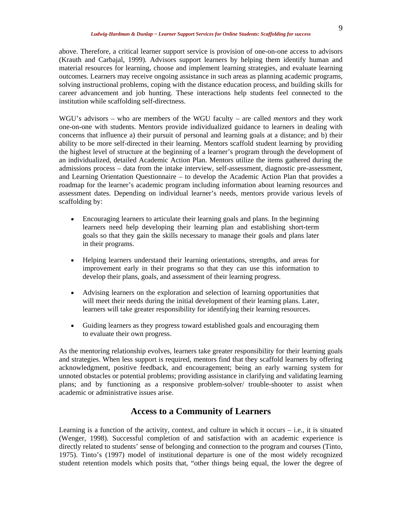above. Therefore, a critical learner support service is provision of one-on-one access to advisors (Krauth and Carbajal, 1999). Advisors support learners by helping them identify human and material resources for learning, choose and implement learning strategies, and evaluate learning outcomes. Learners may receive ongoing assistance in such areas as planning academic programs, solving instructional problems, coping with the distance education process, and building skills for career advancement and job hunting. These interactions help students feel connected to the institution while scaffolding self-directness.

WGU's advisors – who are members of the WGU faculty – are called *mentors* and they work one-on-one with students. Mentors provide individualized guidance to learners in dealing with concerns that influence a) their pursuit of personal and learning goals at a distance; and b) their ability to be more self-directed in their learning. Mentors scaffold student learning by providing the highest level of structure at the beginning of a learner's program through the development of an individualized, detailed Academic Action Plan. Mentors utilize the items gathered during the admissions process – data from the intake interview, self-assessment, diagnostic pre-assessment, and Learning Orientation Questionnaire – to develop the Academic Action Plan that provides a roadmap for the learner's academic program including information about learning resources and assessment dates. Depending on individual learner's needs, mentors provide various levels of scaffolding by:

- Encouraging learners to articulate their learning goals and plans. In the beginning learners need help developing their learning plan and establishing short-term goals so that they gain the skills necessary to manage their goals and plans later in their programs.
- Helping learners understand their learning orientations, strengths, and areas for improvement early in their programs so that they can use this information to develop their plans, goals, and assessment of their learning progress.
- Advising learners on the exploration and selection of learning opportunities that will meet their needs during the initial development of their learning plans. Later, learners will take greater responsibility for identifying their learning resources.
- Guiding learners as they progress toward established goals and encouraging them to evaluate their own progress.

As the mentoring relationship evolves, learners take greater responsibility for their learning goals and strategies. When less support is required, mentors find that they scaffold learners by offering acknowledgment, positive feedback, and encouragement; being an early warning system for unnoted obstacles or potential problems; providing assistance in clarifying and validating learning plans; and by functioning as a responsive problem-solver/ trouble-shooter to assist when academic or administrative issues arise.

### **Access to a Community of Learners**

Learning is a function of the activity, context, and culture in which it occurs  $-$  i.e., it is situated (Wenger, 1998). Successful completion of and satisfaction with an academic experience is directly related to students' sense of belonging and connection to the program and courses (Tinto, 1975). Tinto's (1997) model of institutional departure is one of the most widely recognized student retention models which posits that, "other things being equal, the lower the degree of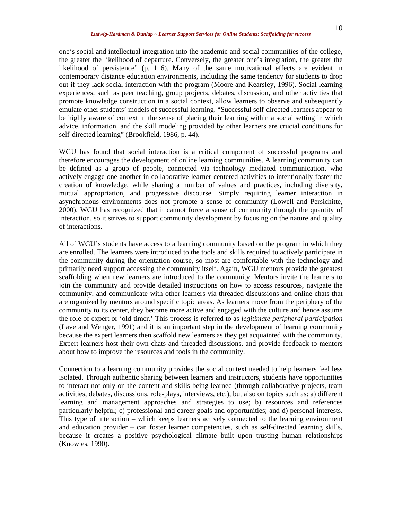one's social and intellectual integration into the academic and social communities of the college, the greater the likelihood of departure. Conversely, the greater one's integration, the greater the likelihood of persistence" (p. 116). Many of the same motivational effects are evident in contemporary distance education environments, including the same tendency for students to drop out if they lack social interaction with the program (Moore and Kearsley, 1996). Social learning experiences, such as peer teaching, group projects, debates, discussion, and other activities that promote knowledge construction in a social context, allow learners to observe and subsequently emulate other students' models of successful learning. "Successful self-directed learners appear to be highly aware of context in the sense of placing their learning within a social setting in which advice, information, and the skill modeling provided by other learners are crucial conditions for self-directed learning" (Brookfield, 1986, p. 44).

WGU has found that social interaction is a critical component of successful programs and therefore encourages the development of online learning communities. A learning community can be defined as a group of people, connected via technology mediated communication, who actively engage one another in collaborative learner-centered activities to intentionally foster the creation of knowledge, while sharing a number of values and practices, including diversity, mutual appropriation, and progressive discourse. Simply requiring learner interaction in asynchronous environments does not promote a sense of community (Lowell and Persichitte, 2000). WGU has recognized that it cannot force a sense of community through the quantity of interaction, so it strives to support community development by focusing on the nature and quality of interactions.

All of WGU's students have access to a learning community based on the program in which they are enrolled. The learners were introduced to the tools and skills required to actively participate in the community during the orientation course, so most are comfortable with the technology and primarily need support accessing the community itself. Again, WGU mentors provide the greatest scaffolding when new learners are introduced to the community. Mentors invite the learners to join the community and provide detailed instructions on how to access resources, navigate the community, and communicate with other learners via threaded discussions and online chats that are organized by mentors around specific topic areas. As learners move from the periphery of the community to its center, they become more active and engaged with the culture and hence assume the role of expert or 'old-timer.' This process is referred to as *legitimate peripheral participation* (Lave and Wenger, 1991) and it is an important step in the development of learning community because the expert learners then scaffold new learners as they get acquainted with the community. Expert learners host their own chats and threaded discussions, and provide feedback to mentors about how to improve the resources and tools in the community.

Connection to a learning community provides the social context needed to help learners feel less isolated. Through authentic sharing between learners and instructors, students have opportunities to interact not only on the content and skills being learned (through collaborative projects, team activities, debates, discussions, role-plays, interviews, etc.), but also on topics such as: a) different learning and management approaches and strategies to use; b) resources and references particularly helpful; c) professional and career goals and opportunities; and d) personal interests. This type of interaction – which keeps learners actively connected to the learning environment and education provider – can foster learner competencies, such as self-directed learning skills, because it creates a positive psychological climate built upon trusting human relationships (Knowles, 1990).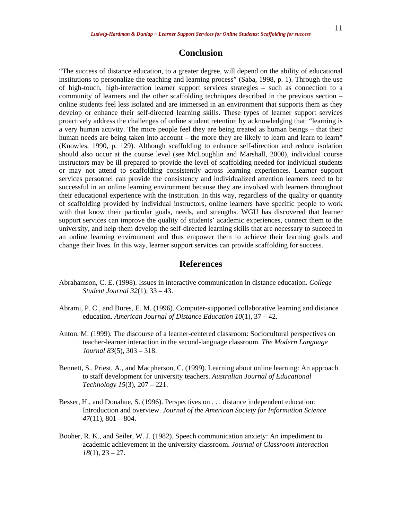### **Conclusion**

"The success of distance education, to a greater degree, will depend on the ability of educational institutions to personalize the teaching and learning process" (Saba, 1998, p. 1). Through the use of high-touch, high-interaction learner support services strategies – such as connection to a community of learners and the other scaffolding techniques described in the previous section – online students feel less isolated and are immersed in an environment that supports them as they develop or enhance their self-directed learning skills. These types of learner support services proactively address the challenges of online student retention by acknowledging that: "learning is a very human activity. The more people feel they are being treated as human beings – that their human needs are being taken into account – the more they are likely to learn and learn to learn" (Knowles, 1990, p. 129). Although scaffolding to enhance self-direction and reduce isolation should also occur at the course level (see McLoughlin and Marshall, 2000), individual course instructors may be ill prepared to provide the level of scaffolding needed for individual students or may not attend to scaffolding consistently across learning experiences. Learner support services personnel can provide the consistency and individualized attention learners need to be successful in an online learning environment because they are involved with learners throughout their educational experience with the institution. In this way, regardless of the quality or quantity of scaffolding provided by individual instructors, online learners have specific people to work with that know their particular goals, needs, and strengths. WGU has discovered that learner support services can improve the quality of students' academic experiences, connect them to the university, and help them develop the self-directed learning skills that are necessary to succeed in an online learning environment and thus empower them to achieve their learning goals and change their lives. In this way, learner support services can provide scaffolding for success.

#### **References**

- Abrahamson, C. E. (1998). Issues in interactive communication in distance education. *College Student Journal 32*(1), 33 – 43.
- Abrami, P. C., and Bures, E. M. (1996). Computer-supported collaborative learning and distance education. *American Journal of Distance Education 10*(1), 37 – 42.
- Anton, M. (1999). The discourse of a learner-centered classroom: Sociocultural perspectives on teacher-learner interaction in the second-language classroom. *The Modern Language Journal 83*(5), 303 – 318.
- Bennett, S., Priest, A., and Macpherson, C. (1999). Learning about online learning: An approach to staff development for university teachers. *Australian Journal of Educational Technology 15*(3), 207 – 221.
- Besser, H., and Donahue, S. (1996). Perspectives on . . . distance independent education: Introduction and overview. *Journal of the American Society for Information Science 47*(11), 801 – 804.
- Booher, R. K., and Seiler, W. J. (1982). Speech communication anxiety: An impediment to academic achievement in the university classroom. *Journal of Classroom Interaction 18*(1), 23 – 27.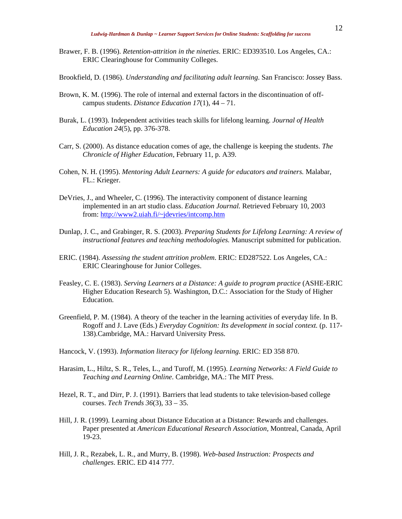- Brawer, F. B. (1996). *Retention-attrition in the nineties*. ERIC: ED393510. Los Angeles, CA.: ERIC Clearinghouse for Community Colleges.
- Brookfield, D. (1986). *Understanding and facilitating adult learning*. San Francisco: Jossey Bass.
- Brown, K. M. (1996). The role of internal and external factors in the discontinuation of offcampus students. *Distance Education 17*(1), 44 – 71.
- Burak, L. (1993). Independent activities teach skills for lifelong learning. *Journal of Health Education 24*(5), pp. 376-378.
- Carr, S. (2000). As distance education comes of age, the challenge is keeping the students. *The Chronicle of Higher Education*, February 11, p. A39.
- Cohen, N. H. (1995). *Mentoring Adult Learners: A guide for educators and trainers.* Malabar, FL.: Krieger.
- DeVries, J., and Wheeler, C. (1996). The interactivity component of distance learning implemented in an art studio class. *Education Journal.* Retrieved February 10, 2003 from: [http://www2.uiah.fi/~jdevries/intcomp.htm](http://www2.uiah.fi/%7Ejdevries/intcomp.htm)
- Dunlap, J. C., and Grabinger, R. S. (2003). *Preparing Students for Lifelong Learning: A review of instructional features and teaching methodologies.* Manuscript submitted for publication.
- ERIC. (1984). *Assessing the student attrition problem*. ERIC: ED287522. Los Angeles, CA.: ERIC Clearinghouse for Junior Colleges.
- Feasley, C. E. (1983). *Serving Learners at a Distance: A guide to program practice* (ASHE-ERIC Higher Education Research 5). Washington, D.C.: Association for the Study of Higher Education.
- Greenfield, P. M. (1984). A theory of the teacher in the learning activities of everyday life. In B. Rogoff and J. Lave (Eds.) *Everyday Cognition: Its development in social context.* (p. 117- 138).Cambridge, MA.: Harvard University Press.
- Hancock, V. (1993). *Information literacy for lifelong learning.* ERIC: ED 358 870.
- Harasim, L., Hiltz, S. R., Teles, L., and Turoff, M. (1995). *Learning Networks: A Field Guide to Teaching and Learning Online*. Cambridge, MA.: The MIT Press.
- Hezel, R. T., and Dirr, P. J. (1991). Barriers that lead students to take television-based college courses. *Tech Trends 36*(3), 33 – 35.
- Hill, J. R. (1999). Learning about Distance Education at a Distance: Rewards and challenges. Paper presented at *American Educational Research Association,* Montreal, Canada, April 19-23.
- Hill, J. R., Rezabek, L. R., and Murry, B. (1998). *Web-based Instruction: Prospects and challenges*. ERIC. ED 414 777.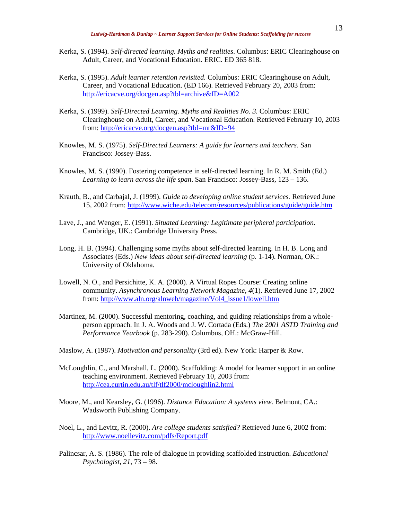- Kerka, S. (1994). *Self-directed learning. Myths and realities*. Columbus: ERIC Clearinghouse on Adult, Career, and Vocational Education. ERIC. ED 365 818.
- Kerka, S. (1995). *Adult learner retention revisited.* Columbus: ERIC Clearinghouse on Adult, Career, and Vocational Education. (ED 166). Retrieved February 20, 2003 from: <http://ericacve.org/docgen.asp?tbl=archive&ID=A002>
- Kerka, S. (1999). *Self-Directed Learning. Myths and Realities No. 3.* Columbus: ERIC Clearinghouse on Adult, Career, and Vocational Education. Retrieved February 10, 2003 from:<http://ericacve.org/docgen.asp?tbl=mr&ID=94>
- Knowles, M. S. (1975). *Self-Directed Learners: A guide for learners and teachers.* San Francisco: Jossey-Bass.
- Knowles, M. S. (1990). Fostering competence in self-directed learning. In R. M. Smith (Ed.) *Learning to learn across the life span*. San Francisco: Jossey-Bass, 123 – 136.
- Krauth, B., and Carbajal, J. (1999). *Guide to developing online student services.* Retrieved June 15, 2002 from:<http://www.wiche.edu/telecom/resources/publications/guide/guide.htm>
- Lave, J., and Wenger, E. (1991). *Situated Learning: Legitimate peripheral participation*. Cambridge, UK.: Cambridge University Press.
- Long, H. B. (1994). Challenging some myths about self-directed learning. In H. B. Long and Associates (Eds.) *New ideas about self-directed learning* (p. 1-14). Norman, OK.: University of Oklahoma.
- Lowell, N. O., and Persichitte, K. A. (2000). A Virtual Ropes Course: Creating online community. *Asynchronous Learning Network Magazine, 4*(1). Retrieved June 17, 2002 from: [http://www.aln.org/alnweb/magazine/Vol4\\_issue1/lowell.htm](http://www.aln.org/alnweb/magazine/Vol4_issue1/lowell.htm)
- Martinez, M. (2000). Successful mentoring, coaching, and guiding relationships from a wholeperson approach. In J. A. Woods and J. W. Cortada (Eds.) *The 2001 ASTD Training and Performance Yearbook* (p. 283-290). Columbus, OH.: McGraw-Hill.
- Maslow, A. (1987). *Motivation and personality* (3rd ed). New York: Harper & Row.
- McLoughlin, C., and Marshall, L. (2000). Scaffolding: A model for learner support in an online teaching environment. Retrieved February 10, 2003 from: <http://cea.curtin.edu.au/tlf/tlf2000/mcloughlin2.html>
- Moore, M., and Kearsley, G. (1996). *Distance Education: A systems view.* Belmont, CA.: Wadsworth Publishing Company.
- Noel, L., and Levitz, R. (2000). *Are college students satisfied?* Retrieved June 6, 2002 from: <http://www.noellevitz.com/pdfs/Report.pdf>
- Palincsar, A. S. (1986). The role of dialogue in providing scaffolded instruction. *Educational Psychologist, 21*, 73 – 98.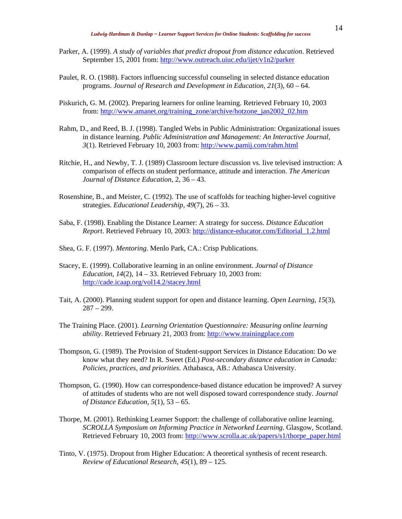- Parker, A. (1999). *A study of variables that predict dropout from distance education*. Retrieved September 15, 2001 from:<http://www.outreach.uiuc.edu/ijet/v1n2/parker>
- Paulet, R. O. (1988). Factors influencing successful counseling in selected distance education programs. *Journal of Research and Development in Education, 21*(3), 60 – 64.
- Piskurich, G. M. (2002). Preparing learners for online learning. Retrieved February 10, 2003 from: [http://www.amanet.org/training\\_zone/archive/hotzone\\_jan2002\\_02.htm](http://www.amanet.org/training_zone/archive/hotzone_jan2002_02.htm)
- Rahm, D., and Reed, B. J. (1998). Tangled Webs in Public Administration: Organizational issues in distance learning. *Public Administration and Management: An Interactive Journal, 3*(1). Retrieved February 10, 2003 from:<http://www.pamij.com/rahm.html>
- Ritchie, H., and Newby, T. J. (1989) Classroom lecture discussion vs. live televised instruction: A comparison of effects on student performance, attitude and interaction. *The American Journal of Distance Education*, 2, 36 – 43.
- Rosenshine, B., and Meister, C. (1992). The use of scaffolds for teaching higher-level cognitive strategies. *Educational Leadership, 49*(7), 26 – 33.
- Saba, F. (1998). Enabling the Distance Learner: A strategy for success. *Distance Education Report*. Retrieved February 10, 2003: [http://distance-educator.com/Editorial\\_1.2.html](http://distance-educator.com/Editorial_1.2.html)
- Shea, G. F. (1997). *Mentoring.* Menlo Park, CA.: Crisp Publications.
- Stacey, E. (1999). Collaborative learning in an online environment. *Journal of Distance Education, 14*(2), 14 – 33. Retrieved February 10, 2003 from: <http://cade.icaap.org/vol14.2/stacey.html>
- Tait, A. (2000). Planning student support for open and distance learning. *Open Learning, 15*(3),  $287 - 299.$
- The Training Place. (2001). *Learning Orientation Questionnaire: Measuring online learning ability*. Retrieved February 21, 2003 from: [http://www.trainingplace.com](http://www.trainingplace.com/)
- Thompson, G. (1989). The Provision of Student-support Services in Distance Education: Do we know what they need? In R. Sweet (Ed.) *Post-secondary distance education in Canada: Policies, practices, and priorities*. Athabasca, AB.: Athabasca University.
- Thompson, G. (1990). How can correspondence-based distance education be improved? A survey of attitudes of students who are not well disposed toward correspondence study. *Journal of Distance Education, 5*(1), 53 – 65.
- Thorpe, M. (2001). Rethinking Learner Support: the challenge of collaborative online learning. *SCROLLA Symposium on Informing Practice in Networked Learning*. Glasgow, Scotland. Retrieved February 10, 2003 from: [http://www.scrolla.ac.uk/papers/s1/thorpe\\_paper.html](http://www.scrolla.ac.uk/papers/s1/thorpe_paper.html)
- Tinto, V. (1975). Dropout from Higher Education: A theoretical synthesis of recent research. *Review of Educational Research, 45*(1), 89 – 125.